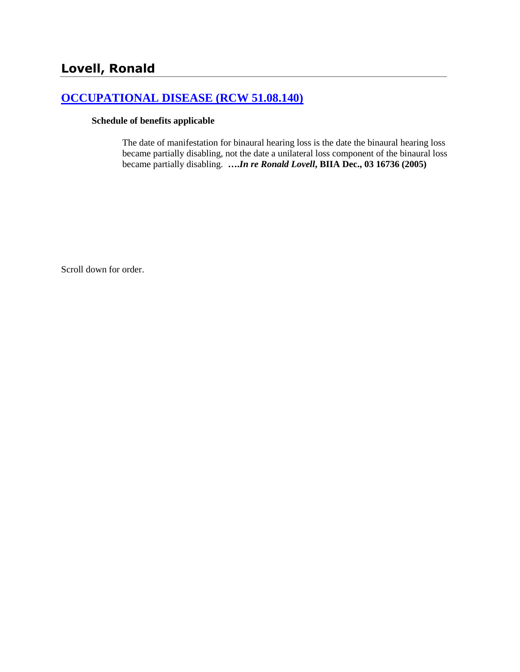## **[OCCUPATIONAL DISEASE \(RCW 51.08.140\)](http://www.biia.wa.gov/SDSubjectIndex.html#OCCUPATIONAL_DISEASE)**

#### **Schedule of benefits applicable**

The date of manifestation for binaural hearing loss is the date the binaural hearing loss became partially disabling, not the date a unilateral loss component of the binaural loss became partially disabling. **….***In re Ronald Lovell***, BIIA Dec., 03 16736 (2005)**

Scroll down for order.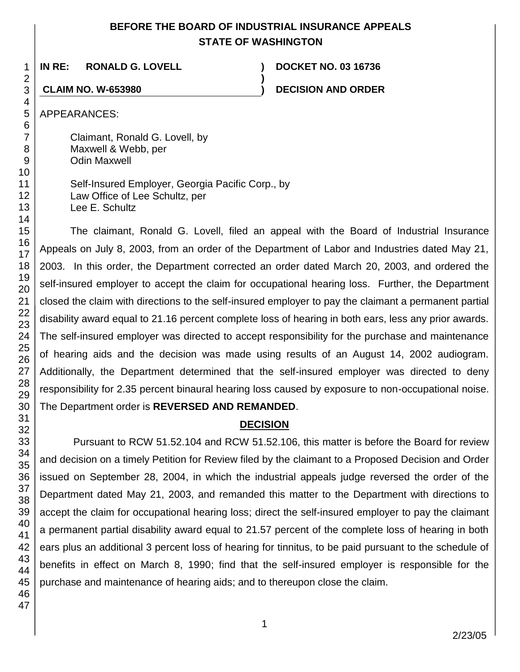# **BEFORE THE BOARD OF INDUSTRIAL INSURANCE APPEALS STATE OF WASHINGTON**

**)**

**IN RE: RONALD G. LOVELL ) DOCKET NO. 03 16736**

**CLAIM NO. W-653980 ) DECISION AND ORDER**

APPEARANCES:

Claimant, Ronald G. Lovell, by Maxwell & Webb, per Odin Maxwell

Self-Insured Employer, Georgia Pacific Corp., by Law Office of Lee Schultz, per Lee E. Schultz

The claimant, Ronald G. Lovell, filed an appeal with the Board of Industrial Insurance Appeals on July 8, 2003, from an order of the Department of Labor and Industries dated May 21, 2003. In this order, the Department corrected an order dated March 20, 2003, and ordered the self-insured employer to accept the claim for occupational hearing loss. Further, the Department closed the claim with directions to the self-insured employer to pay the claimant a permanent partial disability award equal to 21.16 percent complete loss of hearing in both ears, less any prior awards. The self-insured employer was directed to accept responsibility for the purchase and maintenance of hearing aids and the decision was made using results of an August 14, 2002 audiogram. Additionally, the Department determined that the self-insured employer was directed to deny responsibility for 2.35 percent binaural hearing loss caused by exposure to non-occupational noise. The Department order is **REVERSED AND REMANDED**.

# **DECISION**

Pursuant to RCW 51.52.104 and RCW 51.52.106, this matter is before the Board for review and decision on a timely Petition for Review filed by the claimant to a Proposed Decision and Order issued on September 28, 2004, in which the industrial appeals judge reversed the order of the Department dated May 21, 2003, and remanded this matter to the Department with directions to accept the claim for occupational hearing loss; direct the self-insured employer to pay the claimant a permanent partial disability award equal to 21.57 percent of the complete loss of hearing in both ears plus an additional 3 percent loss of hearing for tinnitus, to be paid pursuant to the schedule of benefits in effect on March 8, 1990; find that the self-insured employer is responsible for the purchase and maintenance of hearing aids; and to thereupon close the claim.

1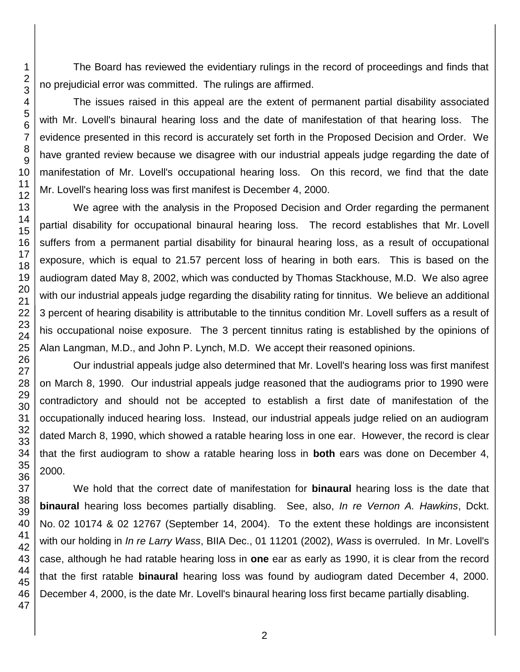The Board has reviewed the evidentiary rulings in the record of proceedings and finds that no prejudicial error was committed. The rulings are affirmed.

The issues raised in this appeal are the extent of permanent partial disability associated with Mr. Lovell's binaural hearing loss and the date of manifestation of that hearing loss. The evidence presented in this record is accurately set forth in the Proposed Decision and Order. We have granted review because we disagree with our industrial appeals judge regarding the date of manifestation of Mr. Lovell's occupational hearing loss. On this record, we find that the date Mr. Lovell's hearing loss was first manifest is December 4, 2000.

We agree with the analysis in the Proposed Decision and Order regarding the permanent partial disability for occupational binaural hearing loss. The record establishes that Mr. Lovell suffers from a permanent partial disability for binaural hearing loss, as a result of occupational exposure, which is equal to 21.57 percent loss of hearing in both ears. This is based on the audiogram dated May 8, 2002, which was conducted by Thomas Stackhouse, M.D. We also agree with our industrial appeals judge regarding the disability rating for tinnitus. We believe an additional percent of hearing disability is attributable to the tinnitus condition Mr. Lovell suffers as a result of his occupational noise exposure. The 3 percent tinnitus rating is established by the opinions of Alan Langman, M.D., and John P. Lynch, M.D. We accept their reasoned opinions.

Our industrial appeals judge also determined that Mr. Lovell's hearing loss was first manifest on March 8, 1990. Our industrial appeals judge reasoned that the audiograms prior to 1990 were contradictory and should not be accepted to establish a first date of manifestation of the occupationally induced hearing loss. Instead, our industrial appeals judge relied on an audiogram dated March 8, 1990, which showed a ratable hearing loss in one ear. However, the record is clear that the first audiogram to show a ratable hearing loss in **both** ears was done on December 4, 2000.

We hold that the correct date of manifestation for **binaural** hearing loss is the date that **binaural** hearing loss becomes partially disabling. See, also, *In re Vernon A. Hawkins*, Dckt. No. 02 10174 & 02 12767 (September 14, 2004). To the extent these holdings are inconsistent with our holding in *In re Larry Wass*, BIIA Dec., 01 11201 (2002), *Wass* is overruled. In Mr. Lovell's case, although he had ratable hearing loss in **one** ear as early as 1990, it is clear from the record that the first ratable **binaural** hearing loss was found by audiogram dated December 4, 2000. December 4, 2000, is the date Mr. Lovell's binaural hearing loss first became partially disabling.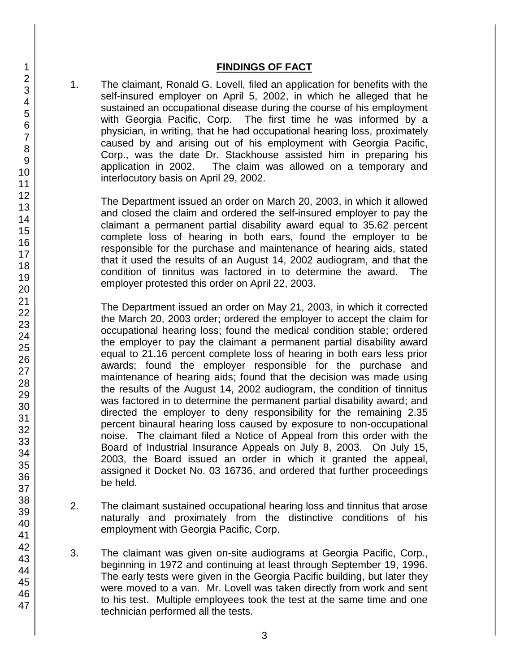#### **FINDINGS OF FACT**

1. The claimant, Ronald G. Lovell, filed an application for benefits with the self-insured employer on April 5, 2002, in which he alleged that he sustained an occupational disease during the course of his employment with Georgia Pacific, Corp. The first time he was informed by a physician, in writing, that he had occupational hearing loss, proximately caused by and arising out of his employment with Georgia Pacific, Corp., was the date Dr. Stackhouse assisted him in preparing his application in 2002. The claim was allowed on a temporary and interlocutory basis on April 29, 2002.

The Department issued an order on March 20, 2003, in which it allowed and closed the claim and ordered the self-insured employer to pay the claimant a permanent partial disability award equal to 35.62 percent complete loss of hearing in both ears, found the employer to be responsible for the purchase and maintenance of hearing aids, stated that it used the results of an August 14, 2002 audiogram, and that the condition of tinnitus was factored in to determine the award. The employer protested this order on April 22, 2003.

The Department issued an order on May 21, 2003, in which it corrected the March 20, 2003 order; ordered the employer to accept the claim for occupational hearing loss; found the medical condition stable; ordered the employer to pay the claimant a permanent partial disability award equal to 21.16 percent complete loss of hearing in both ears less prior awards; found the employer responsible for the purchase and maintenance of hearing aids; found that the decision was made using the results of the August 14, 2002 audiogram, the condition of tinnitus was factored in to determine the permanent partial disability award; and directed the employer to deny responsibility for the remaining 2.35 percent binaural hearing loss caused by exposure to non-occupational noise. The claimant filed a Notice of Appeal from this order with the Board of Industrial Insurance Appeals on July 8, 2003. On July 15, 2003, the Board issued an order in which it granted the appeal, assigned it Docket No. 03 16736, and ordered that further proceedings be held.

- 2. The claimant sustained occupational hearing loss and tinnitus that arose naturally and proximately from the distinctive conditions of his employment with Georgia Pacific, Corp.
- 3. The claimant was given on-site audiograms at Georgia Pacific, Corp., beginning in 1972 and continuing at least through September 19, 1996. The early tests were given in the Georgia Pacific building, but later they were moved to a van. Mr. Lovell was taken directly from work and sent to his test. Multiple employees took the test at the same time and one technician performed all the tests.
- 1 2 3 4 5 6 7 8 9 10 11 12 13 14 15 16 17 18 19 20 21 22 23 24 25 26 27 28 29 30 31 32 33 34 35 36 37 38 39 40 41 42 43 44 45 46 47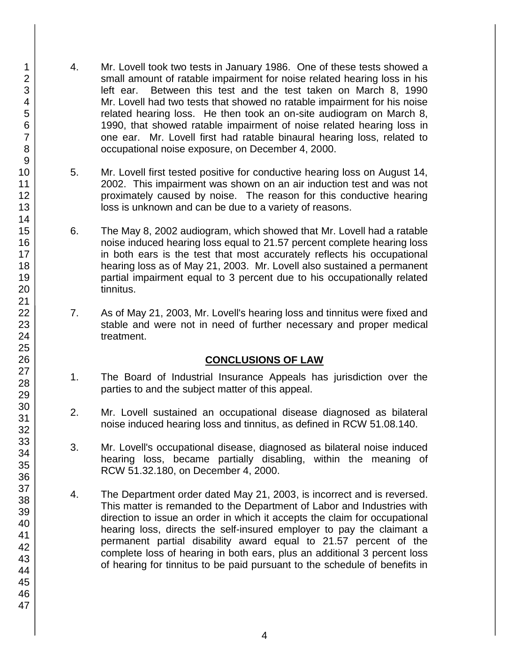- 4. Mr. Lovell took two tests in January 1986. One of these tests showed a small amount of ratable impairment for noise related hearing loss in his left ear. Between this test and the test taken on March 8, 1990 Mr. Lovell had two tests that showed no ratable impairment for his noise related hearing loss. He then took an on-site audiogram on March 8, 1990, that showed ratable impairment of noise related hearing loss in one ear. Mr. Lovell first had ratable binaural hearing loss, related to occupational noise exposure, on December 4, 2000.
- 5. Mr. Lovell first tested positive for conductive hearing loss on August 14, 2002. This impairment was shown on an air induction test and was not proximately caused by noise. The reason for this conductive hearing loss is unknown and can be due to a variety of reasons.
- 6. The May 8, 2002 audiogram, which showed that Mr. Lovell had a ratable noise induced hearing loss equal to 21.57 percent complete hearing loss in both ears is the test that most accurately reflects his occupational hearing loss as of May 21, 2003. Mr. Lovell also sustained a permanent partial impairment equal to 3 percent due to his occupationally related tinnitus.
- 7. As of May 21, 2003, Mr. Lovell's hearing loss and tinnitus were fixed and stable and were not in need of further necessary and proper medical treatment.

# **CONCLUSIONS OF LAW**

- 1. The Board of Industrial Insurance Appeals has jurisdiction over the parties to and the subject matter of this appeal.
- 2. Mr. Lovell sustained an occupational disease diagnosed as bilateral noise induced hearing loss and tinnitus, as defined in RCW 51.08.140.
- 3. Mr. Lovell's occupational disease, diagnosed as bilateral noise induced hearing loss, became partially disabling, within the meaning of RCW 51.32.180, on December 4, 2000.
- 4. The Department order dated May 21, 2003, is incorrect and is reversed. This matter is remanded to the Department of Labor and Industries with direction to issue an order in which it accepts the claim for occupational hearing loss, directs the self-insured employer to pay the claimant a permanent partial disability award equal to 21.57 percent of the complete loss of hearing in both ears, plus an additional 3 percent loss of hearing for tinnitus to be paid pursuant to the schedule of benefits in